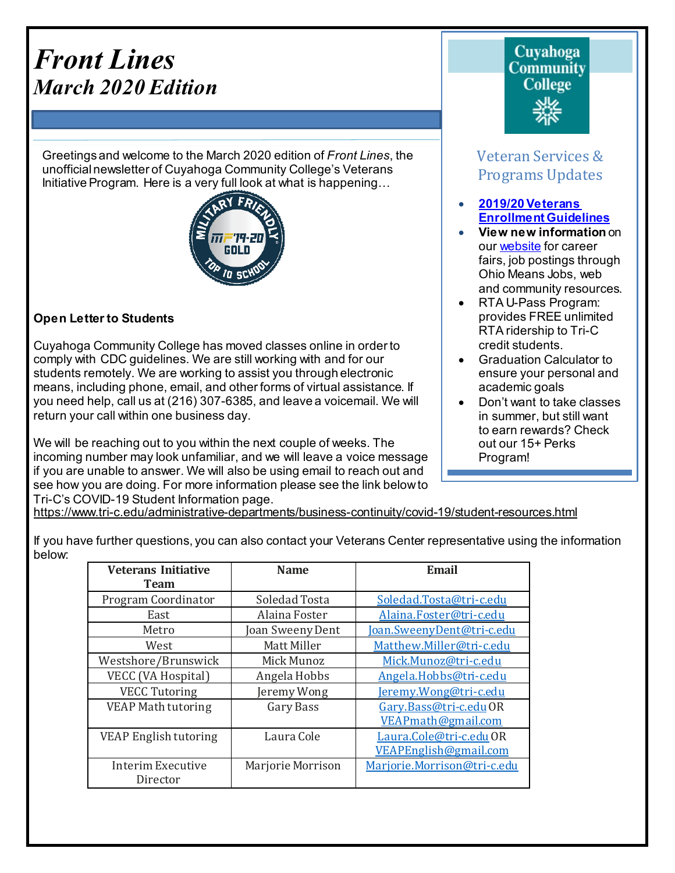# *Front Lines March 2020 Edition*

Greetings and welcome to the March 2020 edition of *Front Lines*, the unofficialnewsletter of Cuyahoga Community College's Veterans InitiativeProgram. Here is a very full look at what is happening…



#### **Open Letter to Students**

Cuyahoga Community College has moved classes online in order to comply with CDC guidelines. We are still working with and for our students remotely. We are working to assist you through electronic means, including phone, email, and other forms of virtual assistance. If you need help, call us at (216) 307-6385, and leave a voicemail. We will return your call within one business day.

We will be reaching out to you within the next couple of weeks. The incoming number may look unfamiliar, and we will leave a voice message if you are unable to answer. We will also be using email to reach out and see how you are doing. For more information please see the link below to Tri-C's COVID-19 Student Information page.

# **Cuvahoga Community College**

# Veteran Services & Programs Updates

- **[2019/20Veterans](http://www.tri-c.edu/veterans/documents/veterans-student-veteran-guide-flyer-2017.pdf) [Enrollment](http://www.tri-c.edu/veterans/documents/veterans-student-veteran-guide-flyer-2017.pdf) Guidelines**
- **View new information** on our [website](http://www.tri-c.edu/veterans/) for career fairs, job postings through Ohio Means Jobs, web and community resources.
- RTA U-Pass Program: provides FREE unlimited RTA ridership to Tri-C credit students.
- Graduation Calculator to ensure your personal and academic goals
- Don't want to take classes in summer, but still want to earn rewards? Check out our 15+ Perks Program!

•

<https://www.tri-c.edu/administrative-departments/business-continuity/covid-19/student-resources.html>

If you have further questions, you can also contact your Veterans Center representative using the information below:

| <b>Veterans Initiative</b><br><b>Team</b> | <b>Name</b>       | Email                       |
|-------------------------------------------|-------------------|-----------------------------|
| Program Coordinator                       | Soledad Tosta     | Soledad.Tosta@tri-c.edu     |
| East                                      | Alaina Foster     | Alaina.Foster@tri-c.edu     |
| Metro                                     | Joan Sweeny Dent  | Joan.SweenyDent@tri-c.edu   |
| West                                      | Matt Miller       | Matthew.Miller@tri-c.edu    |
| Westshore/Brunswick                       | Mick Munoz        | Mick.Munoz@tri-c.edu        |
| VECC (VA Hospital)                        | Angela Hobbs      | Angela.Hobbs@tri-c.edu      |
| <b>VECC Tutoring</b>                      | Jeremy Wong       | Jeremy.Wong@tri-c.edu       |
| <b>VEAP Math tutoring</b>                 | Gary Bass         | Gary.Bass@tri-c.eduOR       |
|                                           |                   | VEAPmath@gmail.com          |
| <b>VEAP English tutoring</b>              | Laura Cole        | Laura.Cole@tri-c.edu OR     |
|                                           |                   | VEAPEnglish@gmail.com       |
| Interim Executive                         | Marjorie Morrison | Marjorie.Morrison@tri-c.edu |
| Director                                  |                   |                             |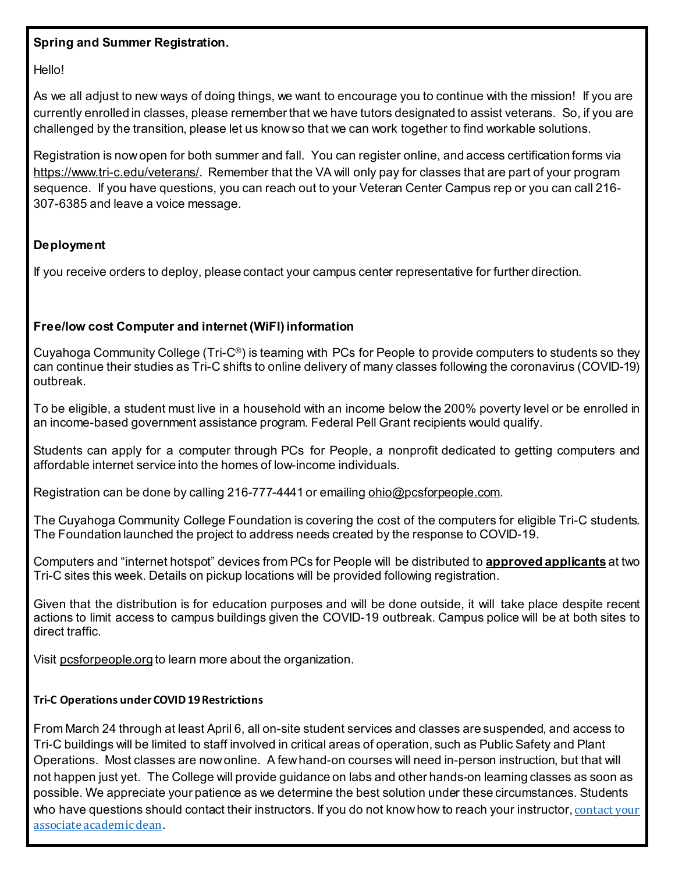#### **Spring and Summer Registration.**

Hello!

As we all adjust to new ways of doing things, we want to encourage you to continue with the mission! If you are currently enrolled in classes, please remember that we have tutors designated to assist veterans. So, if you are challenged by the transition, please let us know so that we can work together to find workable solutions.

Registration is now open for both summer and fall. You can register online, and access certification forms via <https://www.tri-c.edu/veterans/>. Remember that the VA will only pay for classes that are part of your program sequence. If you have questions, you can reach out to your Veteran Center Campus rep or you can call 216- 307-6385 and leave a voice message.

#### **Deployment**

If you receive orders to deploy, please contact your campus center representative for further direction.

#### **Free/low cost Computer and internet (WiFI) information**

Cuyahoga Community College (Tri-C<sup>®</sup>) is teaming with PCs for People to provide computers to students so they can continue their studies as Tri-C shifts to online delivery of many classes following the coronavirus (COVID-19) outbreak.

To be eligible, a student must live in a household with an income below the 200% poverty level or be enrolled in an income-based government assistance program. Federal Pell Grant recipients would qualify.

Students can apply for a computer through PCs for People, a nonprofit dedicated to getting computers and affordable internet service into the homes of low-income individuals.

Registration can be done by calling 216-777-4441 or emailing [ohio@pcsforpeople.com.](mailto:ohio@pcsforpeople.com)

The Cuyahoga Community College Foundation is covering the cost of the computers for eligible Tri-C students. The Foundation launched the project to address needs created by the response to COVID-19.

Computers and "internet hotspot" devices from PCs for People will be distributed to **approved applicants** at two Tri-C sites this week. Details on pickup locations will be provided following registration.

Given that the distribution is for education purposes and will be done outside, it will take place despite recent actions to limit access to campus buildings given the COVID-19 outbreak. Campus police will be at both sites to direct traffic.

Visit [pcsforpeople.org](http://www.pcsforpeople.org/) to learn more about the organization.

#### **Tri-C Operations under COVID 19 Restrictions**

From March 24 through at least April 6, all on-site student services and classes are suspended, and access to Tri-C buildings will be limited to staff involved in critical areas of operation, such as Public Safety and Plant Operations. Most classes are now online. A few hand-on courses will need in-person instruction, but that will not happen just yet. The College will provide guidance on labs and other hands-on learning classes as soon as possible. We appreciate your patience as we determine the best solution under these circumstances. Students who have questions should [contact](https://www.tri-c.edu/administrative-departments/business-continuity/covid-19/documents/tri-c-associate-dean-listing.pdf) their instructors. If you do not know how to reach your instructor, contact your associate [academicdean](https://www.tri-c.edu/administrative-departments/business-continuity/covid-19/documents/tri-c-associate-dean-listing.pdf).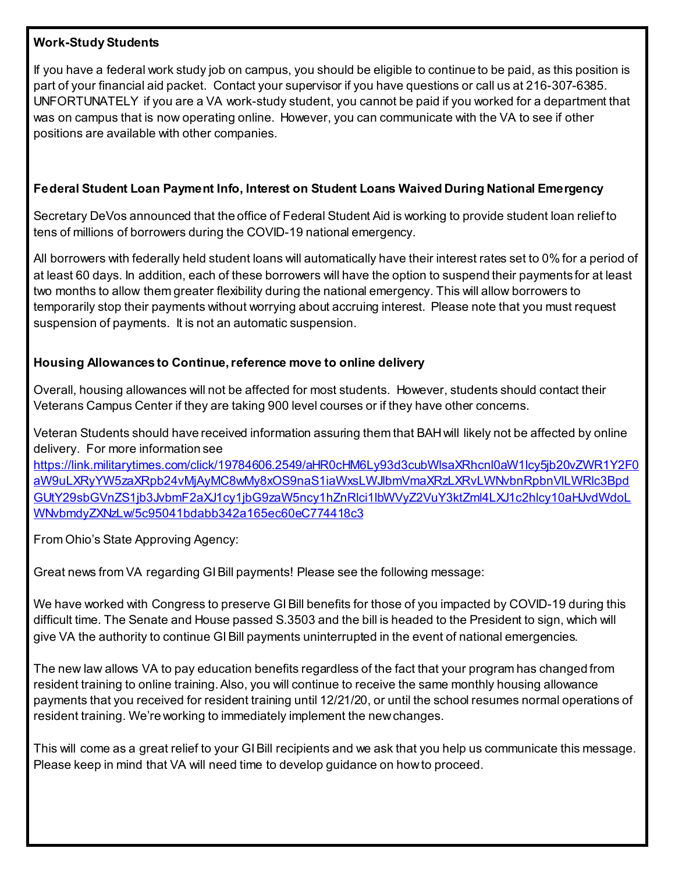#### **Work-Study Students**

If you have a federal work study job on campus, you should be eligible to continue to be paid, as this position is part of your financial aid packet. Contact your supervisor if you have questions or call us at 216-307-6385. UNFORTUNATELY if you are a VA work-study student, you cannot be paid if you worked for a department that was on campus that is now operating online. However, you can communicate with the VA to see if other positions are available with other companies.

#### **Federal Student Loan Payment Info, Interest on Student Loans Waived During National Emergency**

Secretary DeVos announced that the office of Federal Student Aid is working to provide student loan relief to tens of millions of borrowers during the COVID-19 national emergency.

All borrowers with federally held student loans will automatically have their interest rates set to 0% for a period of at least 60 days. In addition, each of these borrowers will have the option to suspend their payments for at least two months to allow them greater flexibility during the national emergency. This will allow borrowers to temporarily stop their payments without worrying about accruing interest. Please note that you must request suspension of payments. It is not an automatic suspension.

#### **Housing Allowances to Continue, reference move to online delivery**

Overall, housing allowances will not be affected for most students. However, students should contact their Veterans Campus Center if they are taking 900 level courses or if they have other concerns.

Veteran Students should have received information assuring them that BAH will likely not be affected by online delivery. For more information see

[https://link.militarytimes.com/click/19784606.2549/aHR0cHM6Ly93d3cubWlsaXRhcnl0aW1lcy5jb20vZWR1Y2F0](https://link.militarytimes.com/click/19784606.2549/aHR0cHM6Ly93d3cubWlsaXRhcnl0aW1lcy5jb20vZWR1Y2F0aW9uLXRyYW5zaXRpb24vMjAyMC8wMy8xOS9naS1iaWxsLWJlbmVmaXRzLXRvLWNvbnRpbnVlLWRlc3BpdGUtY29sbGVnZS1jb3JvbmF2aXJ1cy1jbG9zaW5ncy1hZnRlci1lbWVyZ2VuY3ktZml4LXJ1c2hlcy10aHJvdWdoLWNvbmdyZXNzLw/5c95041bdabb342a165ec60eC774418c3) [aW9uLXRyYW5zaXRpb24vMjAyMC8wMy8xOS9naS1iaWxsLWJlbmVmaXRzLXRvLWNvbnRpbnVlLWRlc3Bpd](https://link.militarytimes.com/click/19784606.2549/aHR0cHM6Ly93d3cubWlsaXRhcnl0aW1lcy5jb20vZWR1Y2F0aW9uLXRyYW5zaXRpb24vMjAyMC8wMy8xOS9naS1iaWxsLWJlbmVmaXRzLXRvLWNvbnRpbnVlLWRlc3BpdGUtY29sbGVnZS1jb3JvbmF2aXJ1cy1jbG9zaW5ncy1hZnRlci1lbWVyZ2VuY3ktZml4LXJ1c2hlcy10aHJvdWdoLWNvbmdyZXNzLw/5c95041bdabb342a165ec60eC774418c3) [GUtY29sbGVnZS1jb3JvbmF2aXJ1cy1jbG9zaW5ncy1hZnRlci1lbWVyZ2VuY3ktZml4LXJ1c2hlcy10aHJvdWdoL](https://link.militarytimes.com/click/19784606.2549/aHR0cHM6Ly93d3cubWlsaXRhcnl0aW1lcy5jb20vZWR1Y2F0aW9uLXRyYW5zaXRpb24vMjAyMC8wMy8xOS9naS1iaWxsLWJlbmVmaXRzLXRvLWNvbnRpbnVlLWRlc3BpdGUtY29sbGVnZS1jb3JvbmF2aXJ1cy1jbG9zaW5ncy1hZnRlci1lbWVyZ2VuY3ktZml4LXJ1c2hlcy10aHJvdWdoLWNvbmdyZXNzLw/5c95041bdabb342a165ec60eC774418c3) [WNvbmdyZXNzLw/5c95041bdabb342a165ec60eC774418c3](https://link.militarytimes.com/click/19784606.2549/aHR0cHM6Ly93d3cubWlsaXRhcnl0aW1lcy5jb20vZWR1Y2F0aW9uLXRyYW5zaXRpb24vMjAyMC8wMy8xOS9naS1iaWxsLWJlbmVmaXRzLXRvLWNvbnRpbnVlLWRlc3BpdGUtY29sbGVnZS1jb3JvbmF2aXJ1cy1jbG9zaW5ncy1hZnRlci1lbWVyZ2VuY3ktZml4LXJ1c2hlcy10aHJvdWdoLWNvbmdyZXNzLw/5c95041bdabb342a165ec60eC774418c3)

From Ohio's State Approving Agency:

Great news from VA regarding GI Bill payments! Please see the following message:

We have worked with Congress to preserve GI Bill benefits for those of you impacted by COVID-19 during this difficult time. The Senate and House passed S.3503 and the bill is headed to the President to sign, which will give VA the authority to continue GI Bill payments uninterrupted in the event of national emergencies.

The new law allows VA to pay education benefits regardless of the fact that your program has changed from resident training to online training. Also, you will continue to receive the same monthly housing allowance payments that you received for resident training until 12/21/20, or until the school resumes normal operations of resident training. We're working to immediately implement the new changes.

This will come as a great relief to your GI Bill recipients and we ask that you help us communicate this message. Please keep in mind that VA will need time to develop guidance on how to proceed.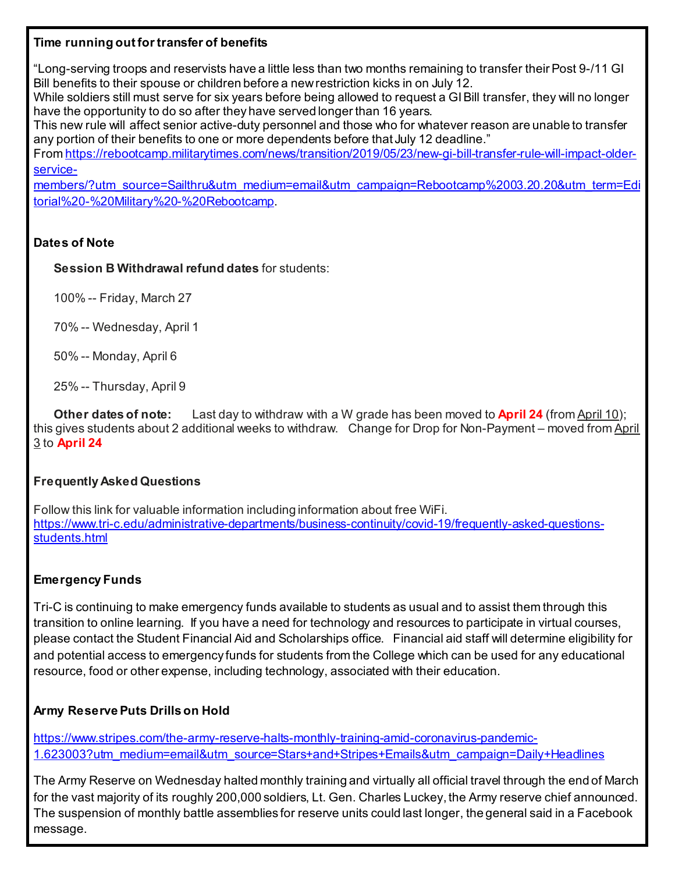#### **Time running out for transfer of benefits**

"Long-serving troops and reservists have a little less than two months remaining to transfer their Post 9-/11 GI Bill benefits to their spouse or children before a new restriction kicks in on July 12.

While soldiers still must serve for six years before being allowed to request a GI Bill transfer, they will no longer have the opportunity to do so after they have served longer than 16 years.

This new rule will affect senior active-duty personnel and those who for whatever reason are unable to transfer any portion of their benefits to one or more dependents before that July 12 deadline."

Fro[m https://rebootcamp.militarytimes.com/news/transition/2019/05/23/new-gi-bill-transfer-rule-will-impact-older](https://rebootcamp.militarytimes.com/news/transition/2019/05/23/new-gi-bill-transfer-rule-will-impact-older-service-members/?utm_source=Sailthru&utm_medium=email&utm_campaign=Rebootcamp%2003.20.20&utm_term=Editorial%20-%20Military%20-%20Rebootcamp)[service-](https://rebootcamp.militarytimes.com/news/transition/2019/05/23/new-gi-bill-transfer-rule-will-impact-older-service-members/?utm_source=Sailthru&utm_medium=email&utm_campaign=Rebootcamp%2003.20.20&utm_term=Editorial%20-%20Military%20-%20Rebootcamp)

[members/?utm\\_source=Sailthru&utm\\_medium=email&utm\\_campaign=Rebootcamp%2003.20.20&utm\\_term=Edi](https://rebootcamp.militarytimes.com/news/transition/2019/05/23/new-gi-bill-transfer-rule-will-impact-older-service-members/?utm_source=Sailthru&utm_medium=email&utm_campaign=Rebootcamp%2003.20.20&utm_term=Editorial%20-%20Military%20-%20Rebootcamp) [torial%20-%20Military%20-%20Rebootcamp.](https://rebootcamp.militarytimes.com/news/transition/2019/05/23/new-gi-bill-transfer-rule-will-impact-older-service-members/?utm_source=Sailthru&utm_medium=email&utm_campaign=Rebootcamp%2003.20.20&utm_term=Editorial%20-%20Military%20-%20Rebootcamp)

#### **Dates of Note**

**Session B Withdrawal refund dates** for students:

100% -- Friday, March 27

70% -- Wednesday, April 1

50% -- Monday, April 6

25% -- Thursday, April 9

**Other dates of note:** Last day to withdraw with a W grade has been moved to **April 24** (from April 10); this gives students about 2 additional weeks to withdraw. Change for Drop for Non-Payment – moved from April 3 to **April 24**

#### **Frequently Asked Questions**

Follow this link for valuable information including information about free WiFi. [https://www.tri-c.edu/administrative-departments/business-continuity/covid-19/frequently-asked-questions](https://www.tri-c.edu/administrative-departments/business-continuity/covid-19/frequently-asked-questions-students.html)[students.html](https://www.tri-c.edu/administrative-departments/business-continuity/covid-19/frequently-asked-questions-students.html)

#### **Emergency Funds**

Tri-C is continuing to make emergency funds available to students as usual and to assist them through this transition to online learning. If you have a need for technology and resources to participate in virtual courses, please contact the Student Financial Aid and Scholarships office. Financial aid staff will determine eligibility for and potential access to emergency funds for students from the College which can be used for any educational resource, food or other expense, including technology, associated with their education.

#### **Army Reserve Puts Drills on Hold**

[https://www.stripes.com/the-army-reserve-halts-monthly-training-amid-coronavirus-pandemic-](https://www.stripes.com/the-army-reserve-halts-monthly-training-amid-coronavirus-pandemic-1.623003?utm_medium=email&utm_source=Stars+and+Stripes+Emails&utm_campaign=Daily+Headlines)[1.623003?utm\\_medium=email&utm\\_source=Stars+and+Stripes+Emails&utm\\_campaign=Daily+Headlines](https://www.stripes.com/the-army-reserve-halts-monthly-training-amid-coronavirus-pandemic-1.623003?utm_medium=email&utm_source=Stars+and+Stripes+Emails&utm_campaign=Daily+Headlines)

The Army Reserve on Wednesday halted monthly training and virtually all official travel through the end of March for the vast majority of its roughly 200,000 soldiers, Lt. Gen. Charles Luckey, the Army reserve chief announced. The suspension of monthly battle assemblies for reserve units could last longer, the general said in a Facebook message.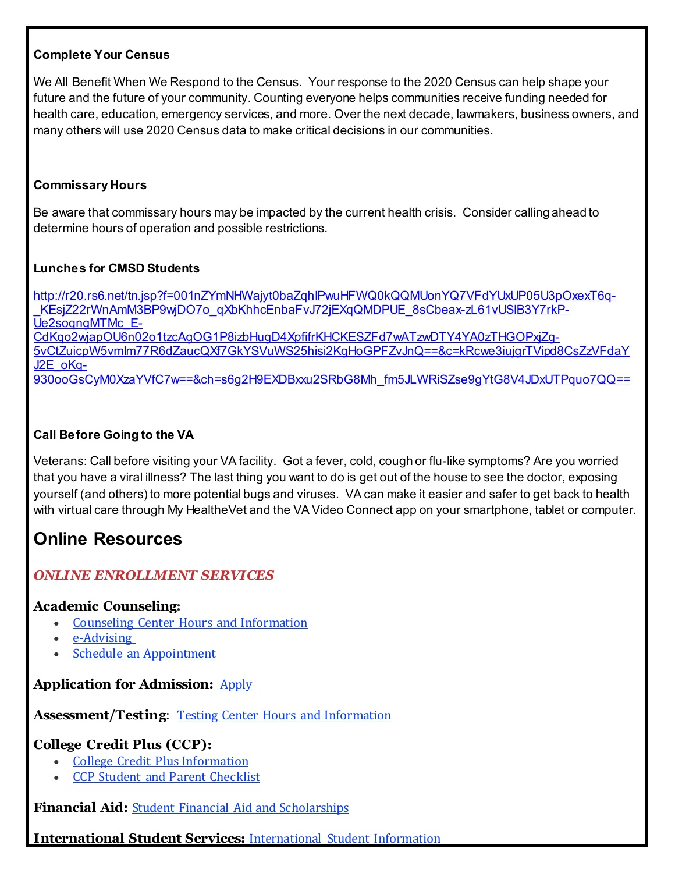#### **Complete Your Census**

We All Benefit When We Respond to the Census. Your response to the 2020 Census can help shape your future and the future of your community. Counting everyone helps communities receive funding needed for health care, education, emergency services, and more. Over the next decade, lawmakers, business owners, and many others will use 2020 Census data to make critical decisions in our communities.

#### **Commissary Hours**

Be aware that commissary hours may be impacted by the current health crisis. Consider calling ahead to determine hours of operation and possible restrictions.

#### **Lunches for CMSD Students**

[http://r20.rs6.net/tn.jsp?f=001nZYmNHWajyt0baZqhIPwuHFWQ0kQQMUonYQ7VFdYUxUP05U3pOxexT6q-](http://r20.rs6.net/tn.jsp?f=001nZYmNHWajyt0baZqhIPwuHFWQ0kQQMUonYQ7VFdYUxUP05U3pOxexT6q-_KEsjZ22rWnAmM3BP9wjDO7o_qXbKhhcEnbaFvJ72jEXqQMDPUE_8sCbeax-zL61vUSlB3Y7rkP-Ue2soqngMTMc_E-CdKqo2wjapOU6n02o1tzcAgOG1P8izbHugD4XpfifrKHCKESZFd7wATzwDTY4YA0zTHGOPxjZg-5vCtZuicpW5vmIm77R6dZaucQXf7GkYSVuWS25hisi2KgHoGPFZvJnQ==&c=kRcwe3iujgrTVipd8CsZzVFdaYJ2E_oKq-930ooGsCyM0XzaYVfC7w==&ch=s6g2H9EXDBxxu2SRbG8Mh_fm5JLWRiSZse9gYtG8V4JDxUTPquo7QQ==) KEsjZ22rWnAmM3BP9wjDO7o\_qXbKhhcEnbaFvJ72jEXqQMDPUE\_8sCbeax-zL61vUSIB3Y7rkP-[Ue2soqngMTMc\\_E-](http://r20.rs6.net/tn.jsp?f=001nZYmNHWajyt0baZqhIPwuHFWQ0kQQMUonYQ7VFdYUxUP05U3pOxexT6q-_KEsjZ22rWnAmM3BP9wjDO7o_qXbKhhcEnbaFvJ72jEXqQMDPUE_8sCbeax-zL61vUSlB3Y7rkP-Ue2soqngMTMc_E-CdKqo2wjapOU6n02o1tzcAgOG1P8izbHugD4XpfifrKHCKESZFd7wATzwDTY4YA0zTHGOPxjZg-5vCtZuicpW5vmIm77R6dZaucQXf7GkYSVuWS25hisi2KgHoGPFZvJnQ==&c=kRcwe3iujgrTVipd8CsZzVFdaYJ2E_oKq-930ooGsCyM0XzaYVfC7w==&ch=s6g2H9EXDBxxu2SRbG8Mh_fm5JLWRiSZse9gYtG8V4JDxUTPquo7QQ==)[CdKqo2wjapOU6n02o1tzcAgOG1P8izbHugD4XpfifrKHCKESZFd7wATzwDTY4YA0zTHGOPxjZg-](http://r20.rs6.net/tn.jsp?f=001nZYmNHWajyt0baZqhIPwuHFWQ0kQQMUonYQ7VFdYUxUP05U3pOxexT6q-_KEsjZ22rWnAmM3BP9wjDO7o_qXbKhhcEnbaFvJ72jEXqQMDPUE_8sCbeax-zL61vUSlB3Y7rkP-Ue2soqngMTMc_E-CdKqo2wjapOU6n02o1tzcAgOG1P8izbHugD4XpfifrKHCKESZFd7wATzwDTY4YA0zTHGOPxjZg-5vCtZuicpW5vmIm77R6dZaucQXf7GkYSVuWS25hisi2KgHoGPFZvJnQ==&c=kRcwe3iujgrTVipd8CsZzVFdaYJ2E_oKq-930ooGsCyM0XzaYVfC7w==&ch=s6g2H9EXDBxxu2SRbG8Mh_fm5JLWRiSZse9gYtG8V4JDxUTPquo7QQ==)[5vCtZuicpW5vmIm77R6dZaucQXf7GkYSVuWS25hisi2KgHoGPFZvJnQ==&c=kRcwe3iujgrTVipd8CsZzVFdaY](http://r20.rs6.net/tn.jsp?f=001nZYmNHWajyt0baZqhIPwuHFWQ0kQQMUonYQ7VFdYUxUP05U3pOxexT6q-_KEsjZ22rWnAmM3BP9wjDO7o_qXbKhhcEnbaFvJ72jEXqQMDPUE_8sCbeax-zL61vUSlB3Y7rkP-Ue2soqngMTMc_E-CdKqo2wjapOU6n02o1tzcAgOG1P8izbHugD4XpfifrKHCKESZFd7wATzwDTY4YA0zTHGOPxjZg-5vCtZuicpW5vmIm77R6dZaucQXf7GkYSVuWS25hisi2KgHoGPFZvJnQ==&c=kRcwe3iujgrTVipd8CsZzVFdaYJ2E_oKq-930ooGsCyM0XzaYVfC7w==&ch=s6g2H9EXDBxxu2SRbG8Mh_fm5JLWRiSZse9gYtG8V4JDxUTPquo7QQ==) [J2E\\_oKq-](http://r20.rs6.net/tn.jsp?f=001nZYmNHWajyt0baZqhIPwuHFWQ0kQQMUonYQ7VFdYUxUP05U3pOxexT6q-_KEsjZ22rWnAmM3BP9wjDO7o_qXbKhhcEnbaFvJ72jEXqQMDPUE_8sCbeax-zL61vUSlB3Y7rkP-Ue2soqngMTMc_E-CdKqo2wjapOU6n02o1tzcAgOG1P8izbHugD4XpfifrKHCKESZFd7wATzwDTY4YA0zTHGOPxjZg-5vCtZuicpW5vmIm77R6dZaucQXf7GkYSVuWS25hisi2KgHoGPFZvJnQ==&c=kRcwe3iujgrTVipd8CsZzVFdaYJ2E_oKq-930ooGsCyM0XzaYVfC7w==&ch=s6g2H9EXDBxxu2SRbG8Mh_fm5JLWRiSZse9gYtG8V4JDxUTPquo7QQ==)[930ooGsCyM0XzaYVfC7w==&ch=s6g2H9EXDBxxu2SRbG8Mh\\_fm5JLWRiSZse9gYtG8V4JDxUTPquo7QQ==](http://r20.rs6.net/tn.jsp?f=001nZYmNHWajyt0baZqhIPwuHFWQ0kQQMUonYQ7VFdYUxUP05U3pOxexT6q-_KEsjZ22rWnAmM3BP9wjDO7o_qXbKhhcEnbaFvJ72jEXqQMDPUE_8sCbeax-zL61vUSlB3Y7rkP-Ue2soqngMTMc_E-CdKqo2wjapOU6n02o1tzcAgOG1P8izbHugD4XpfifrKHCKESZFd7wATzwDTY4YA0zTHGOPxjZg-5vCtZuicpW5vmIm77R6dZaucQXf7GkYSVuWS25hisi2KgHoGPFZvJnQ==&c=kRcwe3iujgrTVipd8CsZzVFdaYJ2E_oKq-930ooGsCyM0XzaYVfC7w==&ch=s6g2H9EXDBxxu2SRbG8Mh_fm5JLWRiSZse9gYtG8V4JDxUTPquo7QQ==)

#### **Call Before Going to the VA**

Veterans: Call before visiting your VA facility. Got a fever, cold, cough or flu-like symptoms? Are you worried that you have a viral illness? The last thing you want to do is get out of the house to see the doctor, exposing yourself (and others) to more potential bugs and viruses. VA can make it easier and safer to get back to health with virtual care through My HealtheVet and the VA Video Connect app on your smartphone, tablet or computer.

# **Online Resources**

# *ONLINE ENROLLMENT SERVICES*

#### **Academic Counseling:**

- Counseling Center Hours and [Information](https://click.icptrack.com/icp/relay.php?r=14424044&msgid=938252&act=V41T&c=192417&destination=https%3A%2F%2Fwww.tri-c.edu%2Fcounseling-center%2Findex.html%3Futm_source%3DiContact%26utm_medium%3Demail%26utm_campaign%3Doffice-of-access-completion%26utm_content%3DUpdate%2BCoronavirus%2Bre%253A%2BServices_0311820)
- [e-Advising](https://click.icptrack.com/icp/relay.php?r=14424044&msgid=938252&act=V41T&c=192417&destination=https%3A%2F%2Fwww.tri-c.edu%2Fcounseling-center%2Fe-advising-request-information.html%3Futm_source%3DiContact%26utm_medium%3Demail%26utm_campaign%3Doffice-of-access-completion%26utm_content%3DUpdate%2BCoronavirus%2Bre%253A%2BServices_0311820)
- Schedule an [Appointment](https://click.icptrack.com/icp/relay.php?r=14424044&msgid=938252&act=V41T&c=192417&destination=https%3A%2F%2Fesars.tri-c.edu%2Fesars%2FCounseling.htm%3F_ga%3D2.98126751.1643819149.1584367999-1341745165.1541180067)

# **Application for Admission:** [Apply](https://click.icptrack.com/icp/relay.php?r=14424044&msgid=938252&act=V41T&c=192417&destination=https%3A%2F%2Fwww.tri-c.edu%2Fapply%2F%3Futm_source%3DiContact%26utm_medium%3Demail%26utm_campaign%3Doffice-of-access-completion%26utm_content%3DUpdate%2BCoronavirus%2Bre%253A%2BServices_0311820)

**Assessment/Testing**: Testing Center Hours and [Information](https://click.icptrack.com/icp/relay.php?r=14424044&msgid=938252&act=V41T&c=192417&destination=https%3A%2F%2Fwww.tri-c.edu%2Ftesting-center%2Ftesting-information-for-students.html%3Futm_source%3DiContact%26utm_medium%3Demail%26utm_campaign%3Doffice-of-access-completion%26utm_content%3DUpdate%2BCoronavirus%2Bre%253A%2BServices_0311820)

# **College Credit Plus (CCP):**

- College Credit Plus [Information](https://click.icptrack.com/icp/relay.php?r=14424044&msgid=938252&act=V41T&c=192417&destination=https%3A%2F%2Fwww.tri-c.edu%2Fcollege-credit-plus%2F%3Futm_source%3DiContact%26utm_medium%3Demail%26utm_campaign%3Doffice-of-access-completion%26utm_content%3DUpdate%2BCoronavirus%2Bre%253A%2BServices_0311820)
- CCP Student and Parent [Checklist](https://click.icptrack.com/icp/relay.php?r=14424044&msgid=938252&act=V41T&c=192417&destination=https%3A%2F%2Fwww.tri-c.edu%2Fcollege-credit-plus%2Fstudents-and-parents.html%3Futm_source%3DiContact%26utm_medium%3Demail%26utm_campaign%3Doffice-of-access-completion%26utm_content%3DUpdate%2BCoronavirus%2Bre%253A%2BServices_0311820)

**Financial Aid:** Student Financial Aid and [Scholarships](https://click.icptrack.com/icp/relay.php?r=14424044&msgid=938252&act=V41T&c=192417&destination=https%3A%2F%2Fwww.tri-c.edu%2Fpaying-for-college%2Ffinancial-aid-and-scholarships%2Findex.html%3Futm_source%3DiContact%26utm_medium%3Demail%26utm_campaign%3Doffice-of-access-completion%26utm_content%3DUpdate%2BCoronavirus%2Bre%253A%2BServices_0311820)

**International Student Services:** [International](https://click.icptrack.com/icp/relay.php?r=14424044&msgid=938252&act=V41T&c=192417&destination=https%3A%2F%2Fwww.tri-c.edu%2Fget-started%2Finternational-students%2Findex.html%3Futm_source%3DiContact%26utm_medium%3Demail%26utm_campaign%3Doffice-of-access-completion%26utm_content%3DUpdate%2BCoronavirus%2Bre%253A%2BServices_0311820) Student Information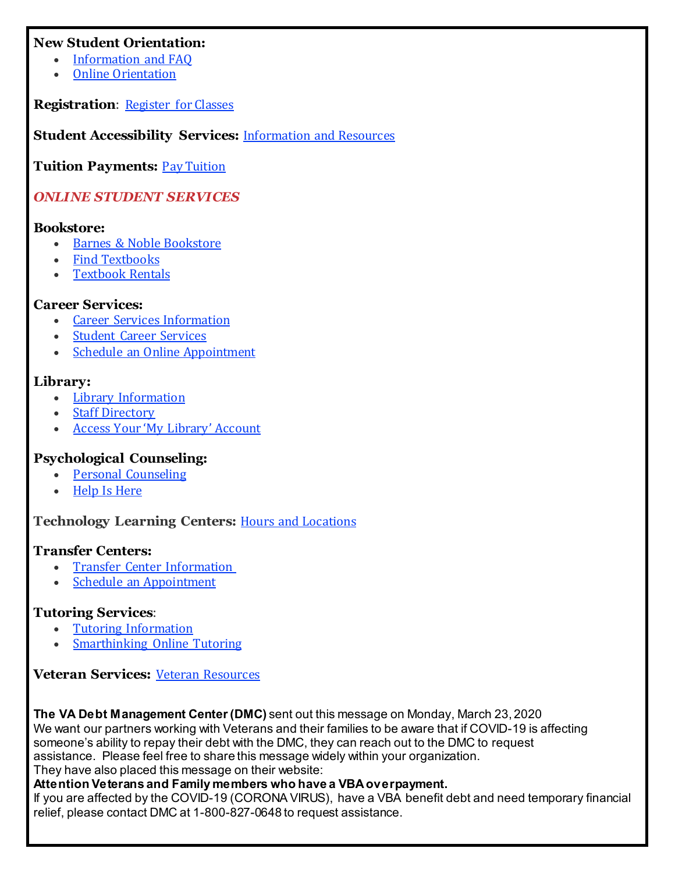#### **New Student Orientation:**

- [Information](https://click.icptrack.com/icp/relay.php?r=14424044&msgid=938252&act=V41T&c=192417&destination=https%3A%2F%2Fwww.tri-c.edu%2Fcounseling-center%2Fnew-student-orientation.html%3Futm_source%3DiContact%26utm_medium%3Demail%26utm_campaign%3Doffice-of-access-completion%26utm_content%3DUpdate%2BCoronavirus%2Bre%253A%2BServices_0311820) and FAQ
- Online [Orientation](https://click.icptrack.com/icp/relay.php?r=14424044&msgid=938252&act=V41T&c=192417&destination=https%3A%2F%2Flaunch.comevo.com%2Fcuyahoga%2F)

**Registration**: [Register](https://click.icptrack.com/icp/relay.php?r=14424044&msgid=938252&act=V41T&c=192417&destination=https%3A%2F%2Fwww.tri-c.edu%2Fstudent-resources%2Fregister-for-classes.html%3Futm_source%3DiContact%26utm_medium%3Demail%26utm_campaign%3Doffice-of-access-completion%26utm_content%3DUpdate%2BCoronavirus%2Bre%253A%2BServices_0311820) for Classes

**Student Accessibility Services:** [Information](https://click.icptrack.com/icp/relay.php?r=14424044&msgid=938252&act=V41T&c=192417&destination=https%3A%2F%2Fwww.tri-c.edu%2Fstudent-accessibility-services%2Findex.html%3Futm_source%3DiContact%26utm_medium%3Demail%26utm_campaign%3Doffice-of-access-completion%26utm_content%3DUpdate%2BCoronavirus%2Bre%253A%2BServices_0311820) and Resources

**Tuition Payments:** Pay [Tuition](https://click.icptrack.com/icp/relay.php?r=14424044&msgid=938252&act=V41T&c=192417&destination=https%3A%2F%2Fwww.tri-c.edu%2Fpaying-for-college%2Findex.html%3Futm_source%3DiContact%26utm_medium%3Demail%26utm_campaign%3Doffice-of-access-completion%26utm_content%3DUpdate%2BCoronavirus%2Bre%253A%2BServices_0311820)

# *ONLINE STUDENT SERVICES*

#### **Bookstore:**

- Barnes & Noble [Bookstore](https://click.icptrack.com/icp/relay.php?r=14424044&msgid=938252&act=V41T&c=192417&destination=https%3A%2F%2Fcuyahoga-west.bncollege.com%2Fshop%2Fcuyahoga-western%2Fhome)
- Find [Textbooks](https://click.icptrack.com/icp/relay.php?r=14424044&msgid=938252&act=V41T&c=192417&destination=https%3A%2F%2Fcuyahoga-west.bncollege.com%2Fshop%2Fcuyahoga-western%2Fpage%2Ffind-textbooks)
- [Textbook](https://click.icptrack.com/icp/relay.php?r=14424044&msgid=938252&act=V41T&c=192417&destination=https%3A%2F%2Fcuyahoga-west.bncollege.com%2Fshop%2Fcuyahoga-western%2Fpage%2Ftextbook-rentals) Rentals

#### **Career Services:**

- **Career Services [Information](https://click.icptrack.com/icp/relay.php?r=14424044&msgid=938252&act=V41T&c=192417&destination=https%3A%2F%2Fwww.tri-c.edu%2Fcareer-services%2Findex.html%3Futm_source%3DiContact%26utm_medium%3Demail%26utm_campaign%3Doffice-of-access-completion%26utm_content%3DUpdate%2BCoronavirus%2Bre%253A%2BServices_0311820)**
- **Student Career [Services](https://click.icptrack.com/icp/relay.php?r=14424044&msgid=938252&act=V41T&c=192417&destination=https%3A%2F%2Fwww.tri-c.edu%2Fcareer-services%2Fstudent-career-services%2Findex.html%3Futm_source%3DiContact%26utm_medium%3Demail%26utm_campaign%3Doffice-of-access-completion%26utm_content%3DUpdate%2BCoronavirus%2Bre%253A%2BServices_0311820)**
- Schedule an Online [Appointment](https://click.icptrack.com/icp/relay.php?r=14424044&msgid=938252&act=V41T&c=192417&destination=https%3A%2F%2Fesars.tri-c.edu%2Fesars%2FCareerCenter.htm%3F_ga%3D2.80440661.370317036.1584371610-1474546294.1537904651)

# **Library:**

- Library [Information](https://click.icptrack.com/icp/relay.php?r=14424044&msgid=938252&act=V41T&c=192417&destination=https%3A%2F%2Fwww.tri-c.edu%2Flearning-commons%2Flibrary%2Findex.html%3Futm_source%3DiContact%26utm_medium%3Demail%26utm_campaign%3Doffice-of-access-completion%26utm_content%3DUpdate%2BCoronavirus%2Bre%253A%2BServices_0311820)
- Staff [Directory](https://click.icptrack.com/icp/relay.php?r=14424044&msgid=938252&act=V41T&c=192417&destination=https%3A%2F%2Fwww.tri-c.edu%2Flearning-commons%2Flibrary%2Flibrary-staff.html%3Futm_source%3DiContact%26utm_medium%3Demail%26utm_campaign%3Doffice-of-access-completion%26utm_content%3DUpdate%2BCoronavirus%2Bre%253A%2BServices_0311820)
- Access Your 'My Library' [Account](https://click.icptrack.com/icp/relay.php?r=14424044&msgid=938252&act=V41T&c=192417&destination=https%3A%2F%2Finnopac.tri-c.edu%2Fiii%2Fcas%2Flogin%3Fservice%3Dhttps%3A%2F%2Fencore.tri-c.edu%3A443%2Fiii%2Fencore%2Fj_acegi_cas_security_check%26lang%3Deng%26_ga%3D2.206242067.1643819149.1584367999-1341745165.1541180067)

# **Psychological Counseling:**

- Personal [Counseling](https://click.icptrack.com/icp/relay.php?r=14424044&msgid=938252&act=V41T&c=192417&destination=https%3A%2F%2Fwww.tri-c.edu%2Fcounseling-center%2Fpersonal-counseling.html%3Futm_source%3DiContact%26utm_medium%3Demail%26utm_campaign%3Doffice-of-access-completion%26utm_content%3DUpdate%2BCoronavirus%2Bre%253A%2BServices_0311820)
- Help Is [Here](https://click.icptrack.com/icp/relay.php?r=14424044&msgid=938252&act=V41T&c=192417&destination=https%3A%2F%2Fwww.tri-c.edu%2Fpolicies-and-procedures%2Fsuicide-awareness-and-prevention%2Findex.html%3Futm_source%3DiContact%26utm_medium%3Demail%26utm_campaign%3Doffice-of-access-completion%26utm_content%3DUpdate%2BCoronavirus%2Bre%253A%2BServices_0311820)

**Technology Learning Centers:** Hours and [Locations](https://click.icptrack.com/icp/relay.php?r=14424044&msgid=938252&act=V41T&c=192417&destination=https%3A%2F%2Fwww.tri-c.edu%2Flearning-commons%2Ftechnology-learning-centers%2Findex.html%3Futm_source%3DiContact%26utm_medium%3Demail%26utm_campaign%3Doffice-of-access-completion%26utm_content%3DUpdate%2BCoronavirus%2Bre%253A%2BServices_0311820)

#### **Transfer Centers:**

- Transfer Center [Information](https://click.icptrack.com/icp/relay.php?r=14424044&msgid=938252&act=V41T&c=192417&destination=https%3A%2F%2Fwww.tri-c.edu%2Ftransfer-center%2Fcampus-transfer-centers.html%3Futm_source%3DiContact%26utm_medium%3Demail%26utm_campaign%3Doffice-of-access-completion%26utm_content%3DUpdate%2BCoronavirus%2Bre%253A%2BServices_0311820)
- Schedule an [Appointment](https://click.icptrack.com/icp/relay.php?r=14424044&msgid=938252&act=V41T&c=192417&destination=https%3A%2F%2Fesars.tri-c.edu%2Fesars%2FTC.htm%3F_ga%3D2.160475325.1643819149.1584367999-1341745165.1541180067)

# **Tutoring Services**:

- Tutoring [Information](https://click.icptrack.com/icp/relay.php?r=14424044&msgid=938252&act=V41T&c=192417&destination=https%3A%2F%2Fwww.tri-c.edu%2Ftutoring%2Findex.html%3Futm_source%3DiContact%26utm_medium%3Demail%26utm_campaign%3Doffice-of-access-completion%26utm_content%3DUpdate%2BCoronavirus%2Bre%253A%2BServices_0311820)
- [Smarthinking](https://click.icptrack.com/icp/relay.php?r=14424044&msgid=938252&act=V41T&c=192417&destination=https%3A%2F%2Fwww.tri-c.edu%2Ftutoring%2Fsmarthinking-online-tutoring.html%3Futm_source%3DiContact%26utm_medium%3Demail%26utm_campaign%3Doffice-of-access-completion%26utm_content%3DUpdate%2BCoronavirus%2Bre%253A%2BServices_0311820) Online Tutoring

**Veteran Services:** Veteran [Resources](https://click.icptrack.com/icp/relay.php?r=14424044&msgid=938252&act=V41T&c=192417&destination=https%3A%2F%2Fwww.tri-c.edu%2Fveterans%2Fveterans-web-resources.html%3Futm_source%3DiContact%26utm_medium%3Demail%26utm_campaign%3Doffice-of-access-completion%26utm_content%3DUpdate%2BCoronavirus%2Bre%253A%2BServices_0311820)

**The VA Debt Management Center (DMC)** sent out this message on Monday, March 23, 2020 We want our partners working with Veterans and their families to be aware that if COVID-19 is affecting someone's ability to repay their debt with the DMC, they can reach out to the DMC to request assistance. Please feel free to share this message widely within your organization.

They have also placed this message on their website:

#### **Attention Veterans and Family members who have a VBA overpayment.**

If you are affected by the COVID-19 (CORONA VIRUS), have a VBA benefit debt and need temporary financial relief, please contact DMC at 1-800-827-0648 to request assistance.